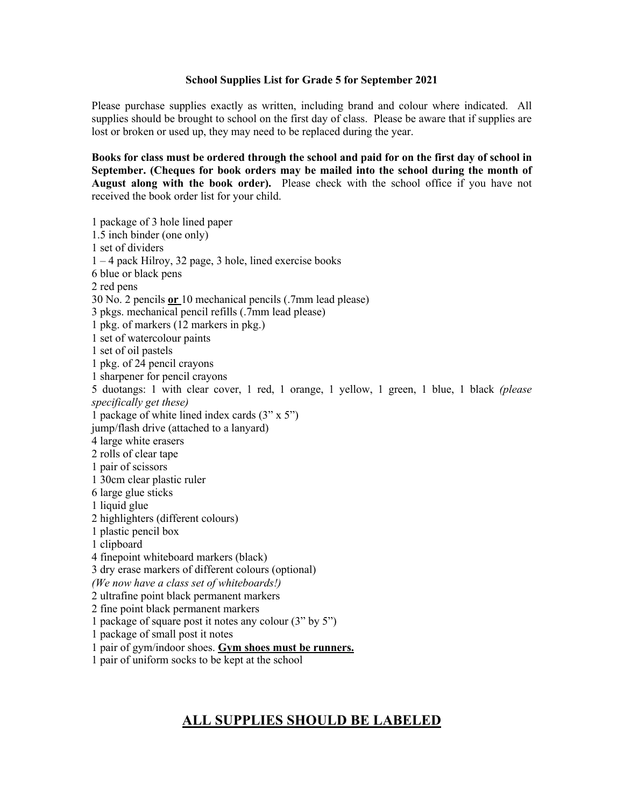## **School Supplies List for Grade 5 for September 2021**

Please purchase supplies exactly as written, including brand and colour where indicated. All supplies should be brought to school on the first day of class. Please be aware that if supplies are lost or broken or used up, they may need to be replaced during the year.

**Books for class must be ordered through the school and paid for on the first day of school in September. (Cheques for book orders may be mailed into the school during the month of August along with the book order).** Please check with the school office if you have not received the book order list for your child.

1 package of 3 hole lined paper 1.5 inch binder (one only) 1 set of dividers 1 – 4 pack Hilroy, 32 page, 3 hole, lined exercise books 6 blue or black pens 2 red pens 30 No. 2 pencils **or** 10 mechanical pencils (.7mm lead please) 3 pkgs. mechanical pencil refills (.7mm lead please) 1 pkg. of markers (12 markers in pkg.) 1 set of watercolour paints 1 set of oil pastels 1 pkg. of 24 pencil crayons 1 sharpener for pencil crayons 5 duotangs: 1 with clear cover, 1 red, 1 orange, 1 yellow, 1 green, 1 blue, 1 black *(please specifically get these)* 1 package of white lined index cards (3" x 5") jump/flash drive (attached to a lanyard) 4 large white erasers 2 rolls of clear tape 1 pair of scissors 1 30cm clear plastic ruler 6 large glue sticks 1 liquid glue 2 highlighters (different colours) 1 plastic pencil box 1 clipboard 4 finepoint whiteboard markers (black) 3 dry erase markers of different colours (optional) *(We now have a class set of whiteboards!)* 2 ultrafine point black permanent markers 2 fine point black permanent markers 1 package of square post it notes any colour (3" by 5") 1 package of small post it notes 1 pair of gym/indoor shoes. **Gym shoes must be runners.**

1 pair of uniform socks to be kept at the school

## **ALL SUPPLIES SHOULD BE LABELED**